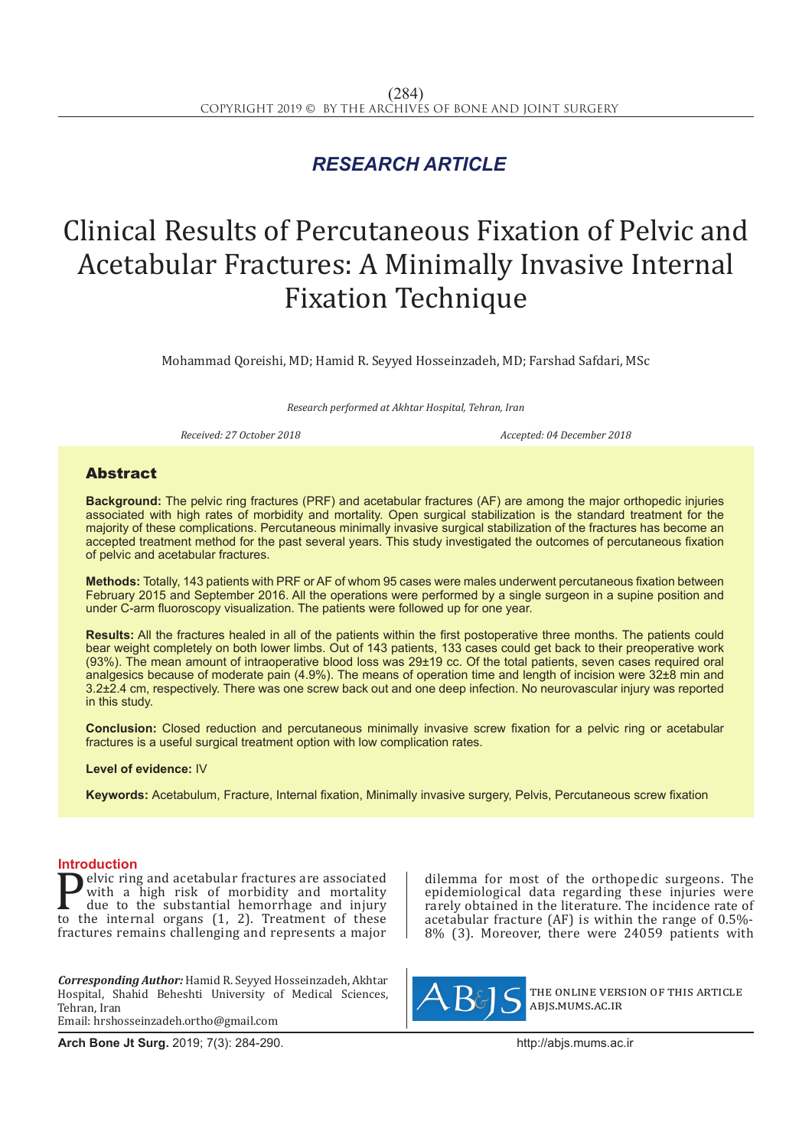## *RESEARCH ARTICLE*

# Clinical Results of Percutaneous Fixation of Pelvic and Acetabular Fractures: A Minimally Invasive Internal Fixation Technique

Mohammad Qoreishi, MD; Hamid R. Seyyed Hosseinzadeh, MD; Farshad Safdari, MSc

*Research performed at Akhtar Hospital, Tehran, Iran*

*Received: 27 October 2018 Accepted: 04 December 2018*

### **Abstract**

**Background:** The pelvic ring fractures (PRF) and acetabular fractures (AF) are among the major orthopedic injuries associated with high rates of morbidity and mortality. Open surgical stabilization is the standard treatment for the majority of these complications. Percutaneous minimally invasive surgical stabilization of the fractures has become an accepted treatment method for the past several years. This study investigated the outcomes of percutaneous fixation of pelvic and acetabular fractures.

**Methods:** Totally, 143 patients with PRF or AF of whom 95 cases were males underwent percutaneous fixation between February 2015 and September 2016. All the operations were performed by a single surgeon in a supine position and under C-arm fluoroscopy visualization. The patients were followed up for one year.

**Results:** All the fractures healed in all of the patients within the first postoperative three months. The patients could bear weight completely on both lower limbs. Out of 143 patients, 133 cases could get back to their preoperative work (93%). The mean amount of intraoperative blood loss was 29±19 cc. Of the total patients, seven cases required oral analgesics because of moderate pain (4.9%). The means of operation time and length of incision were 32±8 min and 3.2±2.4 cm, respectively. There was one screw back out and one deep infection. No neurovascular injury was reported in this study.

**Conclusion:** Closed reduction and percutaneous minimally invasive screw fixation for a pelvic ring or acetabular fractures is a useful surgical treatment option with low complication rates.

### **Level of evidence:** IV

**Keywords:** Acetabulum, Fracture, Internal fixation, Minimally invasive surgery, Pelvis, Percutaneous screw fixation

**Introduction**<br>**In the education** and acetabular fractures are associated **Pelvic ring and acetabular fractures are associated**<br>with a high risk of morbidity and mortality<br>due to the substantial hemorrhage and injury<br>to the internal organs (1, 2). Treatment of these<br>fractures remains challenging with a high risk of morbidity and mortality due to the substantial hemorrhage and injury to the internal organs (1, 2). Treatment of these fractures remains challenging and represents a major

*Corresponding Author:* Hamid R. Seyyed Hosseinzadeh, Akhtar Hospital, Shahid Beheshti University of Medical Sciences, Tehran, Iran Email: hrshosseinzadeh.ortho@gmail.com

**Arch Bone Jt Surg.** 2019; 7(3): 284-290.http://abjs.mums.ac.ir

dilemma for most of the orthopedic surgeons. The epidemiological data regarding these injuries were rarely obtained in the literature. The incidence rate of acetabular fracture (AF) is within the range of 0.5%- 8% (3). Moreover, there were 24059 patients with



the online version of this article abjs.mums.ac.ir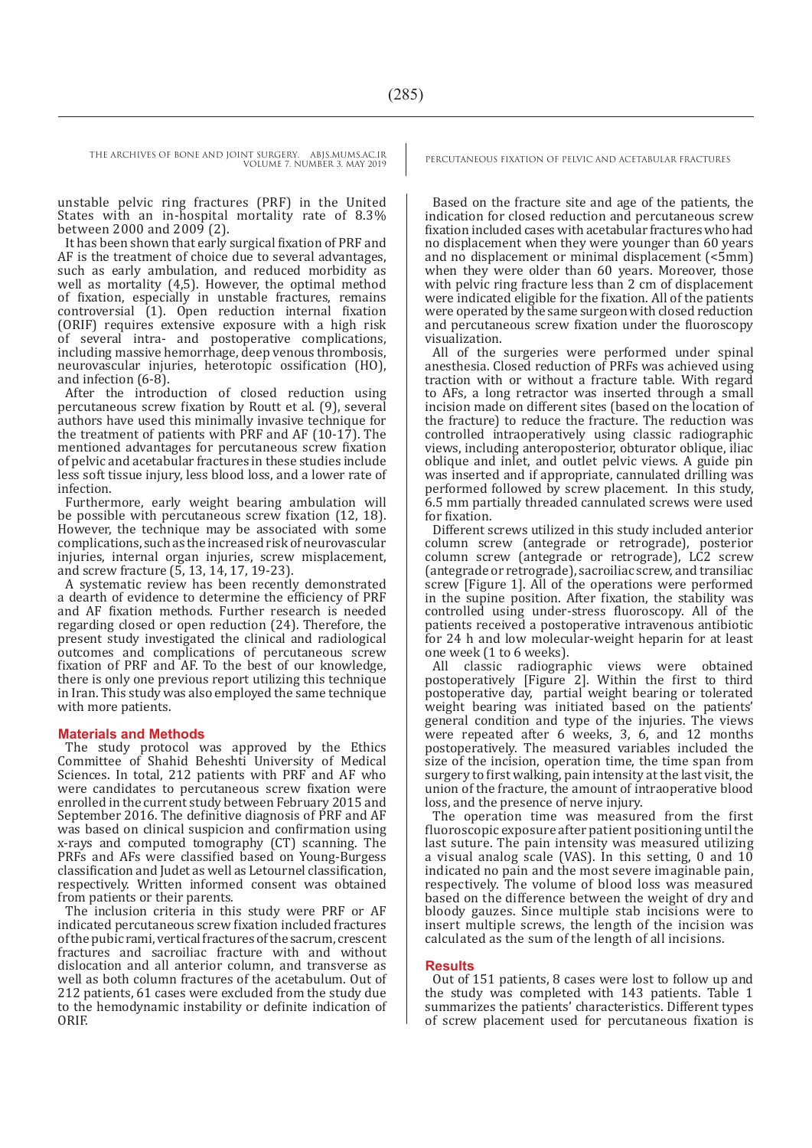unstable pelvic ring fractures (PRF) in the United States with an in-hospital mortality rate of 8.3% between 2000 and 2009 (2).

It has been shown that early surgical fixation of PRF and AF is the treatment of choice due to several advantages, such as early ambulation, and reduced morbidity as well as mortality (4,5). However, the optimal method of fixation, especially in unstable fractures, remains controversial (1). Open reduction internal fixation (ORIF) requires extensive exposure with a high risk of several intra- and postoperative complications, including massive hemorrhage, deep venous thrombosis, neurovascular injuries, heterotopic ossification (HO), and infection (6-8).

After the introduction of closed reduction using percutaneous screw fixation by Routt et al. (9), several authors have used this minimally invasive technique for the treatment of patients with PRF and AF (10-17). The mentioned advantages for percutaneous screw fixation of pelvic and acetabular fractures in these studies include less soft tissue injury, less blood loss, and a lower rate of infection.

Furthermore, early weight bearing ambulation will be possible with percutaneous screw fixation (12, 18). However, the technique may be associated with some complications, such as the increased risk of neurovascular injuries, internal organ injuries, screw misplacement, and screw fracture (5, 13, 14, 17, 19-23).

A systematic review has been recently demonstrated a dearth of evidence to determine the efficiency of PRF and AF fixation methods. Further research is needed regarding closed or open reduction (24). Therefore, the present study investigated the clinical and radiological outcomes and complications of percutaneous screw fixation of PRF and AF. To the best of our knowledge, there is only one previous report utilizing this technique in Iran. This study was also employed the same technique with more patients.

### **Materials and Methods**

The study protocol was approved by the Ethics Committee of Shahid Beheshti University of Medical Sciences. In total, 212 patients with PRF and AF who were candidates to percutaneous screw fixation were enrolled in the current study between February 2015 and September 2016. The definitive diagnosis of PRF and AF was based on clinical suspicion and confirmation using x-rays and computed tomography (CT) scanning. The PRFs and AFs were classified based on Young-Burgess classification and Judet as well as Letournel classification, respectively. Written informed consent was obtained from patients or their parents.

The inclusion criteria in this study were PRF or AF indicated percutaneous screw fixation included fractures of the pubic rami, vertical fractures of the sacrum, crescent fractures and sacroiliac fracture with and without dislocation and all anterior column, and transverse as well as both column fractures of the acetabulum. Out of 212 patients, 61 cases were excluded from the study due to the hemodynamic instability or definite indication of ORIF.

Based on the fracture site and age of the patients, the indication for closed reduction and percutaneous screw fixation included cases with acetabular fractures who had no displacement when they were younger than 60 years and no displacement or minimal displacement (<5mm) when they were older than 60 years. Moreover, those with pelvic ring fracture less than 2 cm of displacement were indicated eligible for the fixation. All of the patients were operated by the same surgeon with closed reduction and percutaneous screw fixation under the fluoroscopy visualization.

All of the surgeries were performed under spinal anesthesia. Closed reduction of PRFs was achieved using traction with or without a fracture table. With regard to AFs, a long retractor was inserted through a small incision made on different sites (based on the location of the fracture) to reduce the fracture. The reduction was controlled intraoperatively using classic radiographic views, including anteroposterior, obturator oblique, iliac oblique and inlet, and outlet pelvic views. A guide pin was inserted and if appropriate, cannulated drilling was performed followed by screw placement. In this study, 6.5 mm partially threaded cannulated screws were used for fixation.

Different screws utilized in this study included anterior column screw (antegrade or retrograde), posterior column screw (antegrade or retrograde), LC2 screw (antegrade or retrograde), sacroiliac screw, and transiliac screw [Figure 1]. All of the operations were performed in the supine position. After fixation, the stability was controlled using under-stress fluoroscopy. All of the patients received a postoperative intravenous antibiotic for 24 h and low molecular-weight heparin for at least one week (1 to 6 weeks).

All classic radiographic views were obtained postoperatively [Figure 2]. Within the first to third postoperative day, partial weight bearing or tolerated weight bearing was initiated based on the patients' general condition and type of the injuries. The views were repeated after 6 weeks, 3, 6, and 12 months postoperatively. The measured variables included the size of the incision, operation time, the time span from surgery to first walking, pain intensity at the last visit, the union of the fracture, the amount of intraoperative blood loss, and the presence of nerve injury.

The operation time was measured from the first fluoroscopic exposure after patient positioning until the last suture. The pain intensity was measured utilizing a visual analog scale (VAS). In this setting, 0 and  $10$ indicated no pain and the most severe imaginable pain, respectively. The volume of blood loss was measured based on the difference between the weight of dry and bloody gauzes. Since multiple stab incisions were to insert multiple screws, the length of the incision was calculated as the sum of the length of all incisions.

### **Results**

Out of 151 patients, 8 cases were lost to follow up and the study was completed with 143 patients. Table 1 summarizes the patients' characteristics. Different types of screw placement used for percutaneous fixation is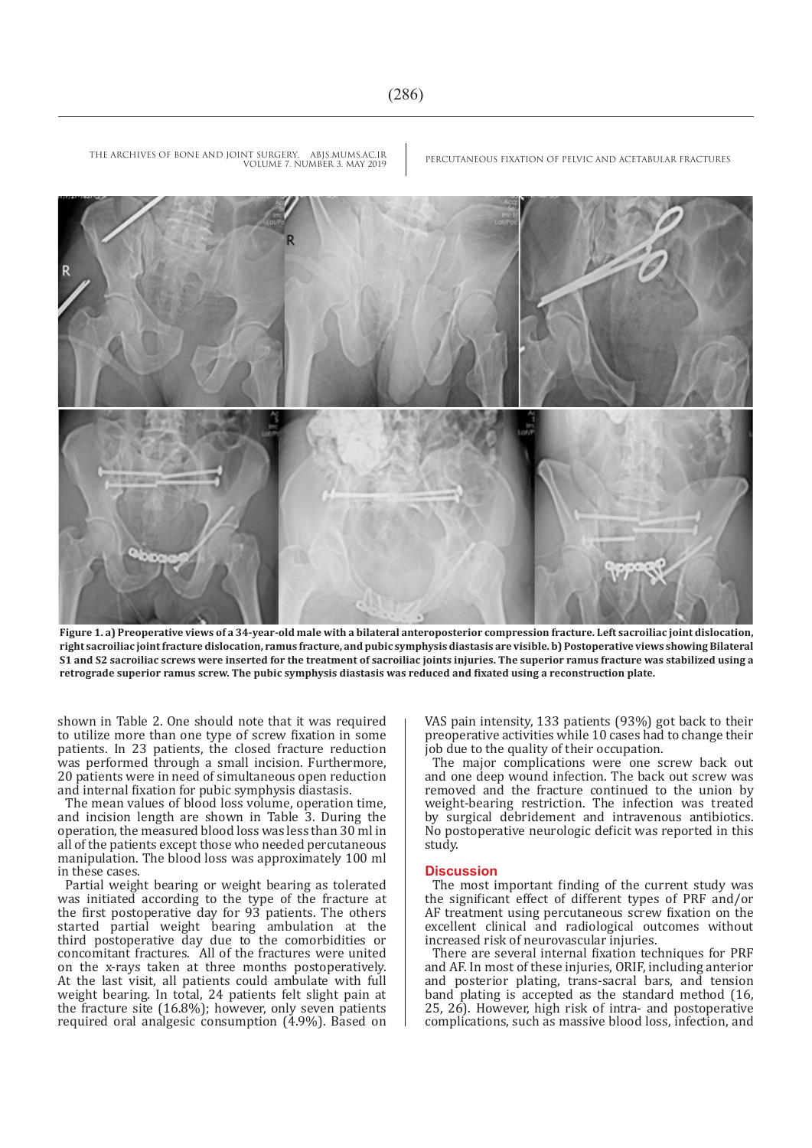

**Figure 1. a) Preoperative views of a 34-year-old male with a bilateral anteroposterior compression fracture. Left sacroiliac joint dislocation, right sacroiliac joint fracture dislocation, ramus fracture, and pubic symphysis diastasis are visible. b) Postoperative views showing Bilateral S1 and S2 sacroiliac screws were inserted for the treatment of sacroiliac joints injuries. The superior ramus fracture was stabilized using a retrograde superior ramus screw. The pubic symphysis diastasis was reduced and fixated using a reconstruction plate.**

shown in Table 2. One should note that it was required to utilize more than one type of screw fixation in some patients. In 23 patients, the closed fracture reduction was performed through a small incision. Furthermore, 20 patients were in need of simultaneous open reduction and internal fixation for pubic symphysis diastasis.

The mean values of blood loss volume, operation time, and incision length are shown in Table 3. During the operation, the measured blood loss was less than 30 ml in all of the patients except those who needed percutaneous manipulation. The blood loss was approximately 100 ml in these cases.

Partial weight bearing or weight bearing as tolerated was initiated according to the type of the fracture at the first postoperative day for 93 patients. The others started partial weight bearing ambulation at the third postoperative day due to the comorbidities or concomitant fractures. All of the fractures were united on the x-rays taken at three months postoperatively. At the last visit, all patients could ambulate with full weight bearing. In total, 24 patients felt slight pain at the fracture site (16.8%); however, only seven patients required oral analgesic consumption (4.9%). Based on VAS pain intensity, 133 patients (93%) got back to their preoperative activities while 10 cases had to change their job due to the quality of their occupation.

The major complications were one screw back out and one deep wound infection. The back out screw was removed and the fracture continued to the union by weight-bearing restriction. The infection was treated by surgical debridement and intravenous antibiotics. No postoperative neurologic deficit was reported in this study.

### **Discussion**

The most important finding of the current study was the significant effect of different types of PRF and/or AF treatment using percutaneous screw fixation on the excellent clinical and radiological outcomes without increased risk of neurovascular injuries.

There are several internal fixation techniques for PRF and AF. In most of these injuries, ORIF, including anterior and posterior plating, trans-sacral bars, and tension band plating is accepted as the standard method (16, 25, 26). However, high risk of intra- and postoperative complications, such as massive blood loss, infection, and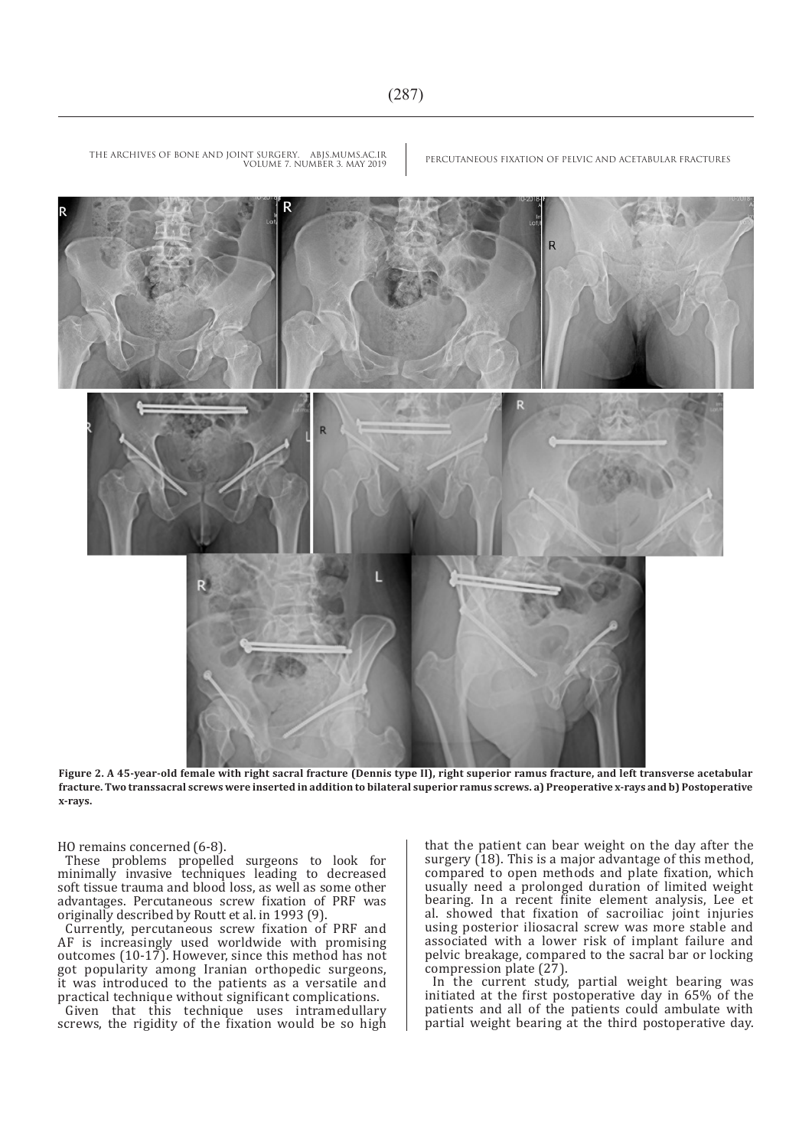

**Figure 2. A 45-year-old female with right sacral fracture (Dennis type II), right superior ramus fracture, and left transverse acetabular fracture. Two transsacral screws were inserted in addition to bilateral superior ramus screws. a) Preoperative x-rays and b) Postoperative x-rays.**

HO remains concerned (6-8).

These problems propelled surgeons to look for minimally invasive techniques leading to decreased soft tissue trauma and blood loss, as well as some other advantages. Percutaneous screw fixation of PRF was originally described by Routt et al. in 1993 (9).

Currently, percutaneous screw fixation of PRF and AF is increasingly used worldwide with promising outcomes (10-17). However, since this method has not got popularity among Iranian orthopedic surgeons, it was introduced to the patients as a versatile and practical technique without significant complications.

Given that this technique uses intramedullary screws, the rigidity of the fixation would be so high that the patient can bear weight on the day after the surgery (18). This is a major advantage of this method, compared to open methods and plate fixation, which usually need a prolonged duration of limited weight bearing. In a recent finite element analysis, Lee et al. showed that fixation of sacroiliac joint injuries using posterior iliosacral screw was more stable and associated with a lower risk of implant failure and pelvic breakage, compared to the sacral bar or locking compression plate (27).

In the current study, partial weight bearing was initiated at the first postoperative day in 65% of the patients and all of the patients could ambulate with partial weight bearing at the third postoperative day.

THE ARCHIVES OF BONE AND JOINT SURGERY. ABJS.MUMS.AC.IR PERCUTANEOUS FIXATION OF PELVIC AND ACETABULAR FRACTURES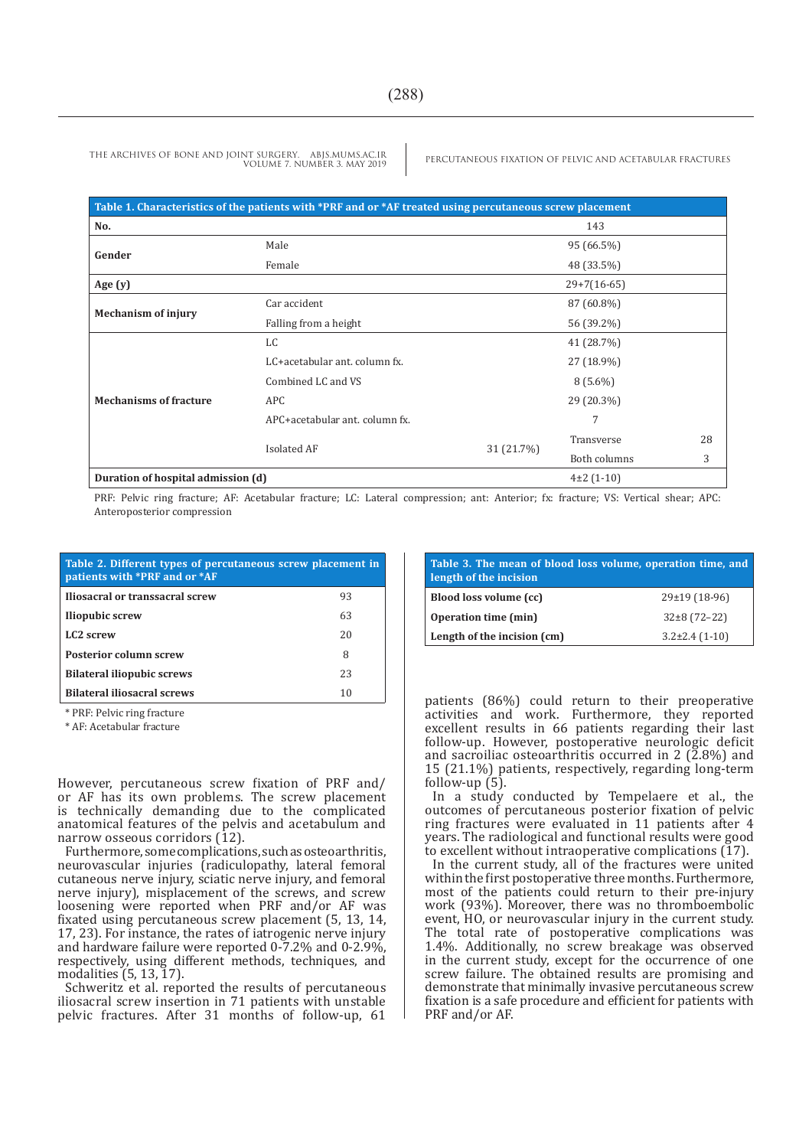| Table 1. Characteristics of the patients with *PRF and or *AF treated using percutaneous screw placement |                                |            |               |    |  |
|----------------------------------------------------------------------------------------------------------|--------------------------------|------------|---------------|----|--|
| No.                                                                                                      |                                |            | 143           |    |  |
| Gender                                                                                                   | Male                           |            | 95 (66.5%)    |    |  |
|                                                                                                          | Female                         |            | 48 (33.5%)    |    |  |
| Age $(y)$                                                                                                |                                |            | $29+7(16-65)$ |    |  |
| <b>Mechanism of injury</b>                                                                               | Car accident                   |            | 87 (60.8%)    |    |  |
|                                                                                                          | Falling from a height          |            | 56 (39.2%)    |    |  |
| <b>Mechanisms of fracture</b>                                                                            | LC                             |            | 41 (28.7%)    |    |  |
|                                                                                                          | LC+acetabular ant, column fx.  |            | 27 (18.9%)    |    |  |
|                                                                                                          | Combined LC and VS             |            | $8(5.6\%)$    |    |  |
|                                                                                                          | <b>APC</b>                     |            | 29 (20.3%)    |    |  |
|                                                                                                          | APC+acetabular ant. column fx. |            | 7             |    |  |
|                                                                                                          | Isolated AF                    |            | Transverse    | 28 |  |
|                                                                                                          |                                | 31 (21.7%) | Both columns  | 3  |  |
| Duration of hospital admission (d)                                                                       |                                |            | $4\pm2(1-10)$ |    |  |

PRF: Pelvic ring fracture; AF: Acetabular fracture; LC: Lateral compression; ant: Anterior; fx: fracture; VS: Vertical shear; APC: Anteroposterior compression

| Table 2. Different types of percutaneous screw placement in<br>patients with *PRF and or *AF |    |  |  |
|----------------------------------------------------------------------------------------------|----|--|--|
| Iliosacral or transsacral screw                                                              | 93 |  |  |
| <b>Iliopubic screw</b>                                                                       | 63 |  |  |
| LC <sub>2</sub> screw                                                                        | 20 |  |  |
| <b>Posterior column screw</b>                                                                | 8  |  |  |
| <b>Bilateral iliopubic screws</b>                                                            | 23 |  |  |
| <b>Bilateral iliosacral screws</b>                                                           | 10 |  |  |

\* PRF: Pelvic ring fracture

\* AF: Acetabular fracture

However, percutaneous screw fixation of PRF and/ or AF has its own problems. The screw placement is technically demanding due to the complicated anatomical features of the pelvis and acetabulum and narrow osseous corridors (12).

Furthermore, some complications, such as osteoarthritis, neurovascular injuries (radiculopathy, lateral femoral cutaneous nerve injury, sciatic nerve injury, and femoral nerve injury), misplacement of the screws, and screw loosening were reported when PRF and/or AF was fixated using percutaneous screw placement (5, 13, 14, 17, 23). For instance, the rates of iatrogenic nerve injury and hardware failure were reported 0-7.2% and 0-2.9%, respectively, using different methods, techniques, and modalities (5, 13, 17).

Schweritz et al. reported the results of percutaneous iliosacral screw insertion in 71 patients with unstable pelvic fractures. After 31 months of follow-up, 61

| Table 3. The mean of blood loss volume, operation time, and<br>length of the incision |                   |  |  |
|---------------------------------------------------------------------------------------|-------------------|--|--|
| Blood loss volume (cc)                                                                | $29\pm19(18-96)$  |  |  |
| <b>Operation time (min)</b>                                                           | $32\pm8(72-22)$   |  |  |
| Length of the incision (cm)                                                           | $3.2\pm2.4(1-10)$ |  |  |

patients (86%) could return to their preoperative activities and work. Furthermore, they reported excellent results in 66 patients regarding their last follow‐up. However, postoperative neurologic deficit and sacroiliac osteoarthritis occurred in 2  $(2.8\%)$  and 15 (21.1%) patients, respectively, regarding long-term follow-up (5).

In a study conducted by Tempelaere et al., the outcomes of percutaneous posterior fixation of pelvic ring fractures were evaluated in 11 patients after 4 years. The radiological and functional results were good to excellent without intraoperative complications (17).

In the current study, all of the fractures were united within the first postoperative three months. Furthermore, most of the patients could return to their pre-injury work (93%). Moreover, there was no thromboembolic event, HO, or neurovascular injury in the current study. The total rate of postoperative complications was 1.4%. Additionally, no screw breakage was observed in the current study, except for the occurrence of one screw failure. The obtained results are promising and demonstrate that minimally invasive percutaneous screw fixation is a safe procedure and efficient for patients with PRF and/or AF.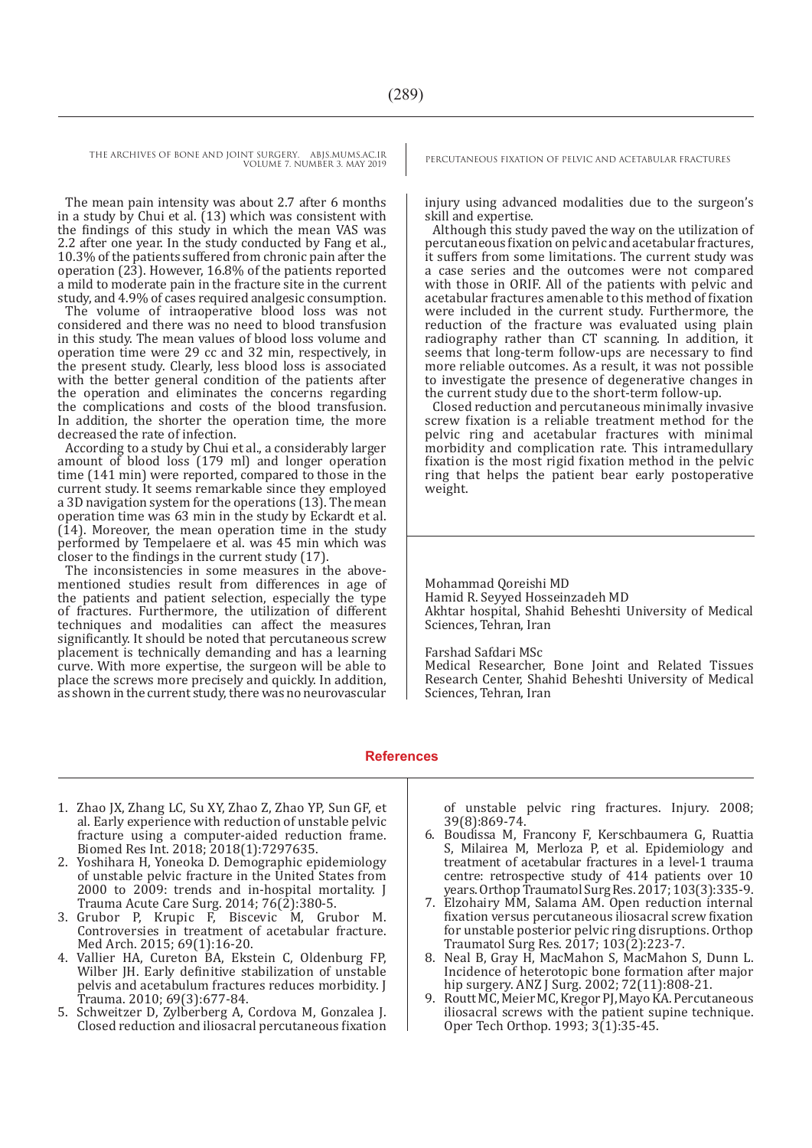The mean pain intensity was about 2.7 after 6 months in a study by Chui et al. (13) which was consistent with the findings of this study in which the mean VAS was 2.2 after one year. In the study conducted by Fang et al., 10.3% of the patients suffered from chronic pain after the operation (23). However, 16.8% of the patients reported a mild to moderate pain in the fracture site in the current study, and 4.9% of cases required analgesic consumption.

The volume of intraoperative blood loss was not considered and there was no need to blood transfusion in this study. The mean values of blood loss volume and operation time were 29 cc and 32 min, respectively, in the present study. Clearly, less blood loss is associated with the better general condition of the patients after the operation and eliminates the concerns regarding the complications and costs of the blood transfusion. In addition, the shorter the operation time, the more decreased the rate of infection.

According to a study by Chui et al., a considerably larger amount of blood loss (179 ml) and longer operation time (141 min) were reported, compared to those in the current study. It seems remarkable since they employed a 3D navigation system for the operations (13). The mean operation time was 63 min in the study by Eckardt et al. (14). Moreover, the mean operation time in the study performed by Tempelaere et al. was 45 min which was closer to the findings in the current study (17).

The inconsistencies in some measures in the abovementioned studies result from differences in age of the patients and patient selection, especially the type of fractures. Furthermore, the utilization of different techniques and modalities can affect the measures significantly. It should be noted that percutaneous screw placement is technically demanding and has a learning curve. With more expertise, the surgeon will be able to place the screws more precisely and quickly. In addition, as shown in the current study, there was no neurovascular

injury using advanced modalities due to the surgeon's skill and expertise.

Although this study paved the way on the utilization of percutaneous fixation on pelvic and acetabular fractures, it suffers from some limitations. The current study was a case series and the outcomes were not compared with those in ORIF. All of the patients with pelvic and acetabular fractures amenable to this method of fixation were included in the current study. Furthermore, the reduction of the fracture was evaluated using plain radiography rather than CT scanning. In addition, it seems that long-term follow-ups are necessary to find more reliable outcomes. As a result, it was not possible to investigate the presence of degenerative changes in the current study due to the short-term follow-up.

Closed reduction and percutaneous minimally invasive screw fixation is a reliable treatment method for the pelvic ring and acetabular fractures with minimal morbidity and complication rate. This intramedullary fixation is the most rigid fixation method in the pelvic ring that helps the patient bear early postoperative weight.

Mohammad Qoreishi MD Hamid R. Seyyed Hosseinzadeh MD Akhtar hospital, Shahid Beheshti University of Medical Sciences, Tehran, Iran

Farshad Safdari MSc

Medical Researcher, Bone Joint and Related Tissues Research Center, Shahid Beheshti University of Medical Sciences, Tehran, Iran

### **References**

- 1. Zhao JX, Zhang LC, Su XY, Zhao Z, Zhao YP, Sun GF, et al. Early experience with reduction of unstable pelvic fracture using a computer-aided reduction frame. Biomed Res Int. 2018; 2018(1):7297635.
- 2. Yoshihara H, Yoneoka D. Demographic epidemiology of unstable pelvic fracture in the United States from 2000 to 2009: trends and in-hospital mortality. J Trauma Acute Care Surg. 2014; 76(2):380-5.
- 3. Grubor P, Krupic F, Biscevic M, Grubor M. Controversies in treatment of acetabular fracture. Med Arch. 2015; 69(1):16-20.
- 4. Vallier HA, Cureton BA, Ekstein C, Oldenburg FP, Wilber JH. Early definitive stabilization of unstable pelvis and acetabulum fractures reduces morbidity. J Trauma. 2010; 69(3):677-84.
- 5. Schweitzer D, Zylberberg A, Cordova M, Gonzalea J. Closed reduction and iliosacral percutaneous fixation

of unstable pelvic ring fractures. Injury. 2008; 39(8):869-74.

- 6. Boudissa M, Francony F, Kerschbaumera G, Ruattia S, Milairea M, Merloza P, et al. Epidemiology and treatment of acetabular fractures in a level-1 trauma centre: retrospective study of 414 patients over 10 years. Orthop Traumatol Surg Res. 2017; 103(3):335-9.
- 7. Elzohairy MM, Salama AM. Open reduction internal fixation versus percutaneous iliosacral screw fixation for unstable posterior pelvic ring disruptions. Orthop Traumatol Surg Res. 2017; 103(2):223-7.
- 8. Neal B, Gray H, MacMahon S, MacMahon S, Dunn L. Incidence of heterotopic bone formation after major hip surgery. ANZ J Surg. 2002; 72(11):808-21.
- 9. Routt MC, Meier MC, Kregor PJ, Mayo KA. Percutaneous iliosacral screws with the patient supine technique. Oper Tech Orthop. 1993; 3(1):35-45.